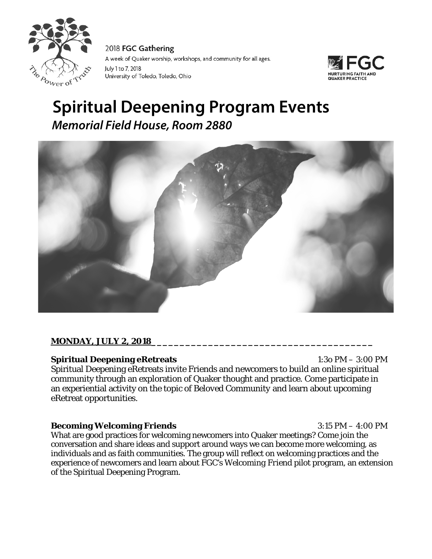

2018 FGC Gathering A week of Quaker worship, workshops, and community for all ages. July 1 to 7, 2018 University of Toledo, Toledo, Ohio



# **Spiritual Deepening Program Events** *Memorial Field House, Room 2880*



## **MONDAY, JULY 2, 2018\_\_\_\_\_\_\_\_\_\_\_\_\_\_\_\_\_\_\_\_\_\_\_\_\_\_\_\_\_\_\_\_\_\_\_\_\_\_\_**

## **Spiritual Deepening eRetreats** 1:3o PM – 3:00 PM

Spiritual Deepening eRetreats invite Friends and newcomers to build an online spiritual community through an exploration of Quaker thought and practice. Come participate in an experiential activity on the topic of *Beloved Community* and learn about upcoming eRetreat opportunities.

#### **Becoming Welcoming Friends** 3:15 PM – 4:00 PM

What are good practices for welcoming newcomers into Quaker meetings? Come join the conversation and share ideas and support around ways we can become more welcoming, as individuals and as faith communities. The group will reflect on welcoming practices and the experience of newcomers and learn about FGC's *Welcoming Friend* pilot program, an extension of the Spiritual Deepening Program.